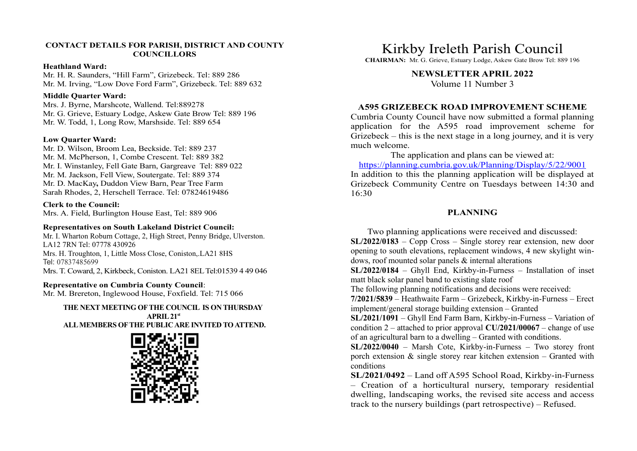# CONTACT DETAILS FOR PARISH, DISTRICT AND COUNTY **COUNCILLORS**

### Heathland Ward:

Mr. H. R. Saunders, "Hill Farm", Grizebeck. Tel: 889 286 Mr. M. Irving, "Low Dove Ford Farm", Grizebeck. Tel: 889 632

# Middle Quarter Ward:

Mrs. J. Byrne, Marshcote, Wallend. Tel:889278 Mr. G. Grieve, Estuary Lodge, Askew Gate Brow Tel: 889 196 Mr. W. Todd, 1, Long Row, Marshside. Tel: 889 654

# Low Quarter Ward:

Mr. D. Wilson, Broom Lea, Beckside. Tel: 889 237 Mr. M. McPherson, 1, Combe Crescent. Tel: 889 382 Mr. I. Winstanley, Fell Gate Barn, Gargreave Tel: 889 022 Mr. M. Jackson, Fell View, Soutergate. Tel: 889 374 Mr. D. MacKay, Duddon View Barn, Pear Tree Farm Sarah Rhodes, 2, Herschell Terrace. Tel: 07824619486

# Clerk to the Council:

Mrs. A. Field, Burlington House East, Tel: 889 906

### Representatives on South Lakeland District Council:

Mr. I. Wharton Roburn Cottage, 2, High Street, Penny Bridge, Ulverston. LA12 7RN Tel: 07778 430926 Mrs. H. Troughton, 1, Little Moss Close, Coniston,.LA21 8HS Tel: 07837485699 Mrs. T. Coward, 2, Kirkbeck, Coniston. LA21 8EL Tel:01539 4 49 046

### Representative on Cumbria County Council:

Mr. M. Brereton, Inglewood House, Foxfield. Tel: 715 066

### THE NEXT MEETING OF THE COUNCIL IS ON THURSDAY  $APRII.21<sup>st</sup>$ ALL MEMBERS OF THE PUBLIC ARE INVITED TO ATTEND.



# Kirkby Ireleth Parish Council

CHAIRMAN: Mr. G. Grieve, Estuary Lodge, Askew Gate Brow Tel: 889 196

# NEWSLETTER APRIL 2022

Volume 11 Number 3

# A595 GRIZEBECK ROAD IMPROVEMENT SCHEME

Cumbria County Council have now submitted a formal planning **EXECT SCRIP IN THE AFTE SCRIM SET AND ATTAGE SCRIME AND NEW SET AFTER APRIL 2022**<br> **A595 GRIZEBECK ROAD IMPROVEMENT SCHEME**<br>
Colume 11 Number 3<br> **A595 GRIZEBECK ROAD IMPROVEMENT SCHEME**<br>
Cumbria County Council have now s Grizebeck – this is the next stage in a long journey, and it is very much welcome.

The application and plans can be viewed at:

https://planning.cumbria.gov.uk/Planning/Display/5/22/9001 In addition to this the planning application will be displayed at Grizebeck Community Centre on Tuesdays between 14:30 and 16:30

# PLANNING

Two planning applications were received and discussed:

SL/2022/0183 – Copp Cross – Single storey rear extension, new door opening to south elevations, replacement windows, 4 new skylight windows, roof mounted solar panels & internal alterations

SL/2022/0184 – Ghyll End, Kirkby-in-Furness – Installation of inset matt black solar panel band to existing slate roof

The following planning notifications and decisions were received:

7/2021/5839 – Heathwaite Farm – Grizebeck, Kirkby-in-Furness – Erect implement/general storage building extension – Granted

SL/2021/1091 – Ghyll End Farm Barn, Kirkby-in-Furness – Variation of condition 2 – attached to prior approval  $CU/2021/00067$  – change of use of an agricultural barn to a dwelling – Granted with conditions.

SL/2022/0040 – Marsh Cote, Kirkby-in-Furness – Two storey front porch extension  $\&$  single storey rear kitchen extension – Granted with conditions

SL/2021/0492 – Land off A595 School Road, Kirkby-in-Furness 16:30<br> **PLANNING**<br>
Two planning applications were received and discussed:<br>
SL/2022/0183 – Copp Cross – Single storey rear extension, new door<br>
opening to south elevations, replacement windows, 4 new skylight win-<br>
dows, ro dwelling, landscaping works, the revised site access and access track to the nursery buildings (part retrospective) – Refused.